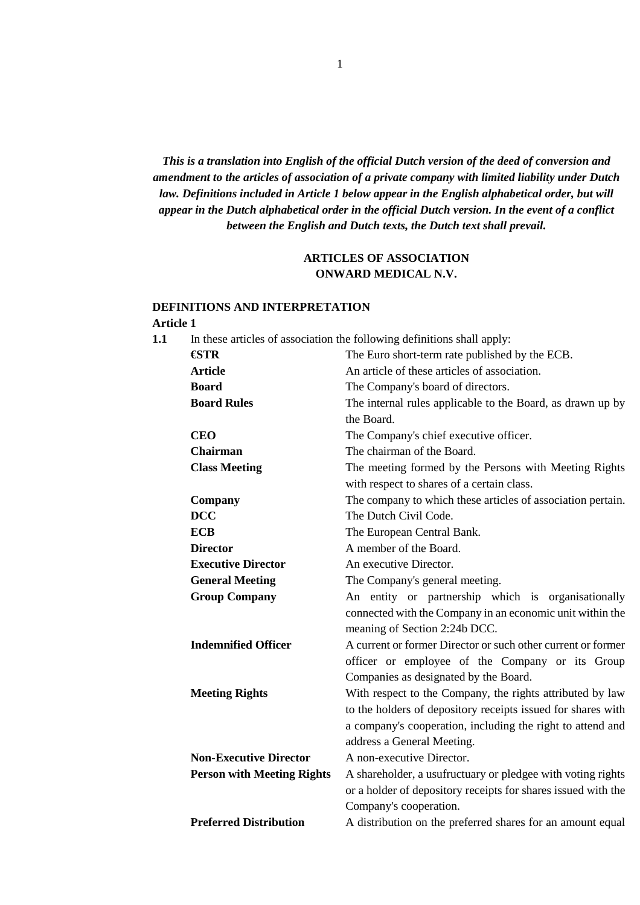*This is a translation into English of the official Dutch version of the deed of conversion and amendment to the articles of association of a private company with limited liability under Dutch law. Definitions included in Article 1 below appear in the English alphabetical order, but will appear in the Dutch alphabetical order in the official Dutch version. In the event of a conflict between the English and Dutch texts, the Dutch text shall prevail.* 

### **ARTICLES OF ASSOCIATION ONWARD MEDICAL N.V.**

### **DEFINITIONS AND INTERPRETATION**

### **Article 1**

**1.1** In these articles of association the following definitions shall apply:

| €STR                              | The Euro short-term rate published by the ECB.                |
|-----------------------------------|---------------------------------------------------------------|
| <b>Article</b>                    | An article of these articles of association.                  |
| <b>Board</b>                      | The Company's board of directors.                             |
| <b>Board Rules</b>                | The internal rules applicable to the Board, as drawn up by    |
|                                   | the Board.                                                    |
| <b>CEO</b>                        | The Company's chief executive officer.                        |
| <b>Chairman</b>                   | The chairman of the Board.                                    |
| <b>Class Meeting</b>              | The meeting formed by the Persons with Meeting Rights         |
|                                   | with respect to shares of a certain class.                    |
| Company                           | The company to which these articles of association pertain.   |
| <b>DCC</b>                        | The Dutch Civil Code.                                         |
| <b>ECB</b>                        | The European Central Bank.                                    |
| <b>Director</b>                   | A member of the Board.                                        |
| <b>Executive Director</b>         | An executive Director.                                        |
| <b>General Meeting</b>            | The Company's general meeting.                                |
| <b>Group Company</b>              | An entity or partnership which is organisationally            |
|                                   | connected with the Company in an economic unit within the     |
|                                   | meaning of Section 2:24b DCC.                                 |
| <b>Indemnified Officer</b>        | A current or former Director or such other current or former  |
|                                   | officer or employee of the Company or its Group               |
|                                   | Companies as designated by the Board.                         |
| <b>Meeting Rights</b>             | With respect to the Company, the rights attributed by law     |
|                                   | to the holders of depository receipts issued for shares with  |
|                                   | a company's cooperation, including the right to attend and    |
|                                   | address a General Meeting.                                    |
| <b>Non-Executive Director</b>     | A non-executive Director.                                     |
| <b>Person with Meeting Rights</b> | A shareholder, a usufructuary or pledgee with voting rights   |
|                                   | or a holder of depository receipts for shares issued with the |
|                                   | Company's cooperation.                                        |
| <b>Preferred Distribution</b>     | A distribution on the preferred shares for an amount equal    |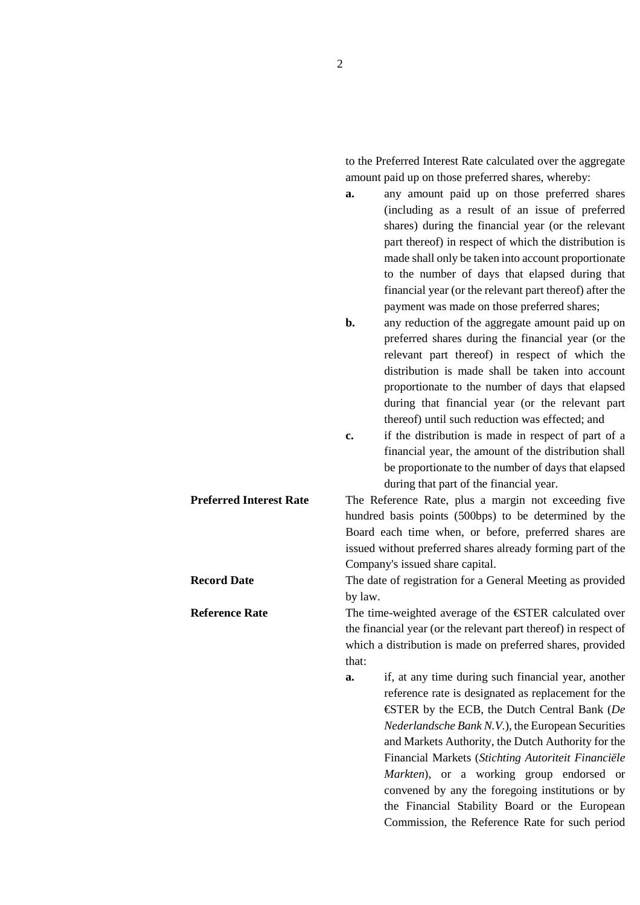to the Preferred Interest Rate calculated over the aggregate amount paid up on those preferred shares, whereby:

**a.** any amount paid up on those preferred shares (including as a result of an issue of preferred shares) during the financial year (or the relevant part thereof) in respect of which the distribution is made shall only be taken into account proportionate to the number of days that elapsed during that financial year (or the relevant part thereof) after the payment was made on those preferred shares;

**b.** any reduction of the aggregate amount paid up on preferred shares during the financial year (or the relevant part thereof) in respect of which the distribution is made shall be taken into account proportionate to the number of days that elapsed during that financial year (or the relevant part thereof) until such reduction was effected; and

**c.** if the distribution is made in respect of part of a financial year, the amount of the distribution shall be proportionate to the number of days that elapsed during that part of the financial year.

**Preferred Interest Rate** The Reference Rate, plus a margin not exceeding five hundred basis points (500bps) to be determined by the Board each time when, or before, preferred shares are issued without preferred shares already forming part of the Company's issued share capital.

**Record Date The date of registration for a General Meeting as provided** by law.

**Reference Rate** The time-weighted average of the €STER calculated over the financial year (or the relevant part thereof) in respect of which a distribution is made on preferred shares, provided that:

> **a.** if, at any time during such financial year, another reference rate is designated as replacement for the €STER by the ECB, the Dutch Central Bank (*De Nederlandsche Bank N.V.*), the European Securities and Markets Authority, the Dutch Authority for the Financial Markets (*Stichting Autoriteit Financiële Markten*), or a working group endorsed or convened by any the foregoing institutions or by the Financial Stability Board or the European Commission, the Reference Rate for such period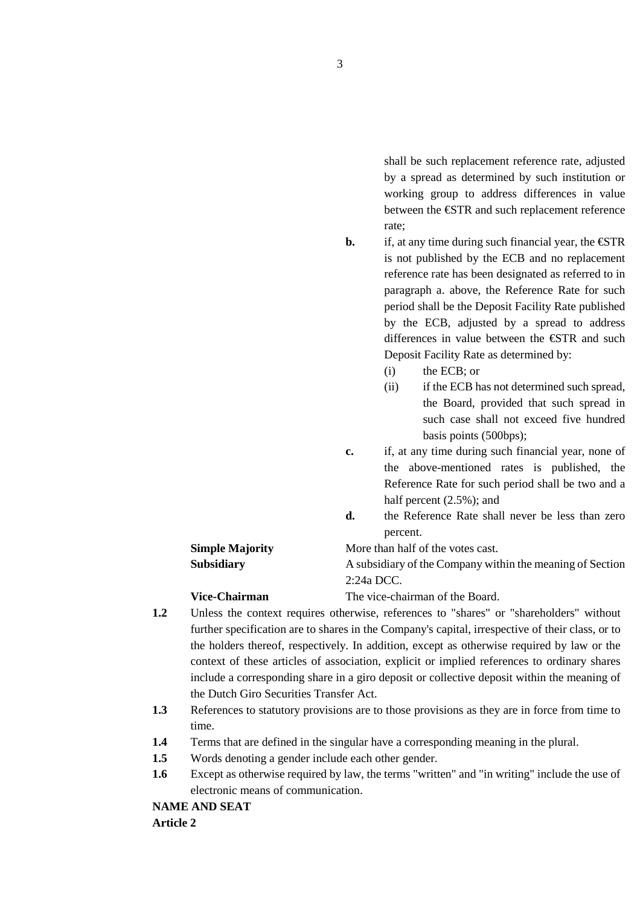shall be such replacement reference rate, adjusted by a spread as determined by such institution or working group to address differences in value between the €STR and such replacement reference rate;

**b.** if, at any time during such financial year, the  $\epsilon$ STR is not published by the ECB and no replacement reference rate has been designated as referred to in paragraph a. above, the Reference Rate for such period shall be the Deposit Facility Rate published by the ECB, adjusted by a spread to address differences in value between the €STR and such Deposit Facility Rate as determined by:

- (i) the ECB; or
- (ii) if the ECB has not determined such spread, the Board, provided that such spread in such case shall not exceed five hundred basis points (500bps);
- **c.** if, at any time during such financial year, none of the above-mentioned rates is published, the Reference Rate for such period shall be two and a half percent (2.5%); and
- **d.** the Reference Rate shall never be less than zero percent.

# **Simple Majority More than half of the votes cast. Subsidiary A** subsidiary of the Company within the meaning of Section

**Vice-Chairman** The vice-chairman of the Board.

**1.2** Unless the context requires otherwise, references to "shares" or "shareholders" without further specification are to shares in the Company's capital, irrespective of their class, or to the holders thereof, respectively. In addition, except as otherwise required by law or the context of these articles of association, explicit or implied references to ordinary shares include a corresponding share in a giro deposit or collective deposit within the meaning of the Dutch Giro Securities Transfer Act.

2:24a DCC.

- **1.3** References to statutory provisions are to those provisions as they are in force from time to time.
- **1.4** Terms that are defined in the singular have a corresponding meaning in the plural.
- **1.5** Words denoting a gender include each other gender.
- **1.6** Except as otherwise required by law, the terms "written" and "in writing" include the use of electronic means of communication.

**NAME AND SEAT Article 2**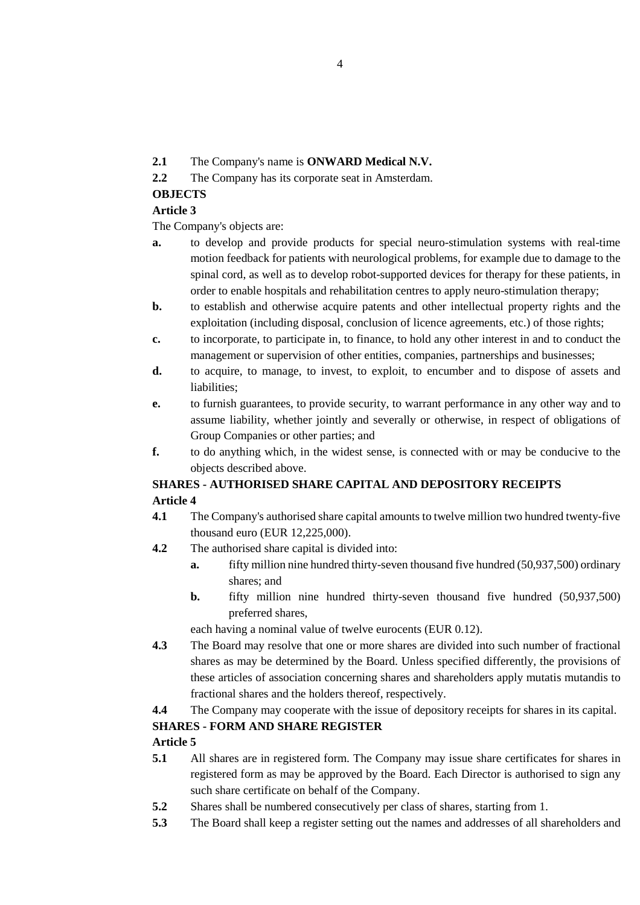- **2.1** The Company's name is **ONWARD Medical N.V.**
- **2.2** The Company has its corporate seat in Amsterdam.

### **OBJECTS**

### **Article 3**

The Company's objects are:

- **a.** to develop and provide products for special neuro-stimulation systems with real-time motion feedback for patients with neurological problems, for example due to damage to the spinal cord, as well as to develop robot-supported devices for therapy for these patients, in order to enable hospitals and rehabilitation centres to apply neuro-stimulation therapy;
- **b.** to establish and otherwise acquire patents and other intellectual property rights and the exploitation (including disposal, conclusion of licence agreements, etc.) of those rights;
- **c.** to incorporate, to participate in, to finance, to hold any other interest in and to conduct the management or supervision of other entities, companies, partnerships and businesses;
- **d.** to acquire, to manage, to invest, to exploit, to encumber and to dispose of assets and liabilities;
- **e.** to furnish guarantees, to provide security, to warrant performance in any other way and to assume liability, whether jointly and severally or otherwise, in respect of obligations of Group Companies or other parties; and
- **f.** to do anything which, in the widest sense, is connected with or may be conducive to the objects described above.

## **SHARES - AUTHORISED SHARE CAPITAL AND DEPOSITORY RECEIPTS Article 4**

- **4.1** The Company's authorised share capital amounts to twelve million two hundred twenty-five thousand euro (EUR 12,225,000).
- **4.2** The authorised share capital is divided into:
	- **a.** fifty million nine hundred thirty-seven thousand five hundred (50,937,500) ordinary shares; and
	- **b.** fifty million nine hundred thirty-seven thousand five hundred (50,937,500) preferred shares,

each having a nominal value of twelve eurocents (EUR 0.12).

- **4.3** The Board may resolve that one or more shares are divided into such number of fractional shares as may be determined by the Board. Unless specified differently, the provisions of these articles of association concerning shares and shareholders apply mutatis mutandis to fractional shares and the holders thereof, respectively.
- **4.4** The Company may cooperate with the issue of depository receipts for shares in its capital.

## **SHARES - FORM AND SHARE REGISTER**

- **5.1** All shares are in registered form. The Company may issue share certificates for shares in registered form as may be approved by the Board. Each Director is authorised to sign any such share certificate on behalf of the Company.
- **5.2** Shares shall be numbered consecutively per class of shares, starting from 1.
- **5.3** The Board shall keep a register setting out the names and addresses of all shareholders and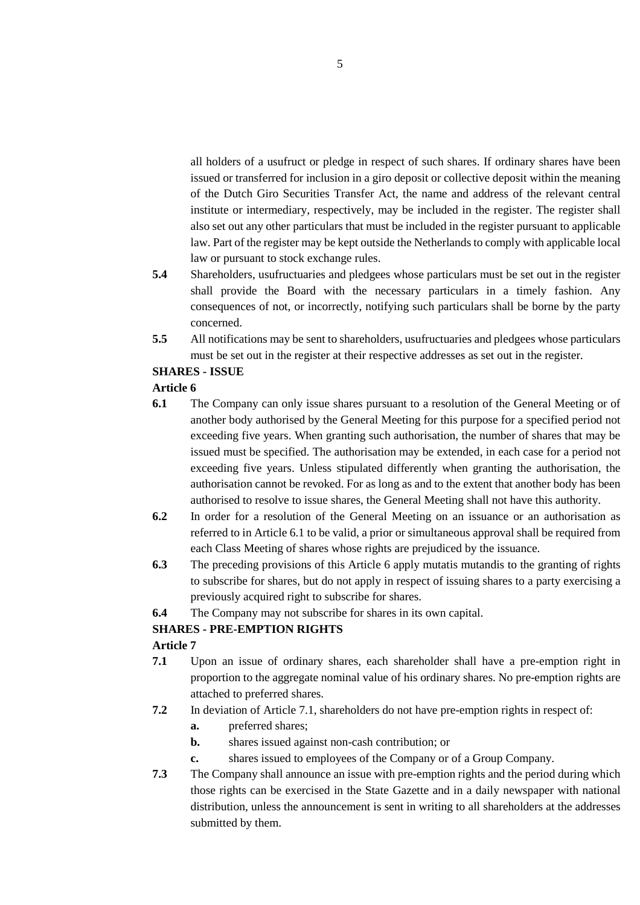all holders of a usufruct or pledge in respect of such shares. If ordinary shares have been issued or transferred for inclusion in a giro deposit or collective deposit within the meaning of the Dutch Giro Securities Transfer Act, the name and address of the relevant central institute or intermediary, respectively, may be included in the register. The register shall also set out any other particulars that must be included in the register pursuant to applicable law. Part of the register may be kept outside the Netherlands to comply with applicable local law or pursuant to stock exchange rules.

- **5.4** Shareholders, usufructuaries and pledgees whose particulars must be set out in the register shall provide the Board with the necessary particulars in a timely fashion. Any consequences of not, or incorrectly, notifying such particulars shall be borne by the party concerned.
- **5.5** All notifications may be sent to shareholders, usufructuaries and pledgees whose particulars must be set out in the register at their respective addresses as set out in the register.

### **SHARES - ISSUE**

### **Article 6**

- **6.1** The Company can only issue shares pursuant to a resolution of the General Meeting or of another body authorised by the General Meeting for this purpose for a specified period not exceeding five years. When granting such authorisation, the number of shares that may be issued must be specified. The authorisation may be extended, in each case for a period not exceeding five years. Unless stipulated differently when granting the authorisation, the authorisation cannot be revoked. For as long as and to the extent that another body has been authorised to resolve to issue shares, the General Meeting shall not have this authority.
- **6.2** In order for a resolution of the General Meeting on an issuance or an authorisation as referred to in Article 6.1 to be valid, a prior or simultaneous approval shall be required from each Class Meeting of shares whose rights are prejudiced by the issuance.
- **6.3** The preceding provisions of this Article 6 apply mutatis mutandis to the granting of rights to subscribe for shares, but do not apply in respect of issuing shares to a party exercising a previously acquired right to subscribe for shares.
- **6.4** The Company may not subscribe for shares in its own capital.

### **SHARES - PRE-EMPTION RIGHTS**

- **7.1** Upon an issue of ordinary shares, each shareholder shall have a pre-emption right in proportion to the aggregate nominal value of his ordinary shares. No pre-emption rights are attached to preferred shares.
- **7.2** In deviation of Article 7.1, shareholders do not have pre-emption rights in respect of:
	- **a.** preferred shares;
	- **b.** shares issued against non-cash contribution; or
	- **c.** shares issued to employees of the Company or of a Group Company.
- **7.3** The Company shall announce an issue with pre-emption rights and the period during which those rights can be exercised in the State Gazette and in a daily newspaper with national distribution, unless the announcement is sent in writing to all shareholders at the addresses submitted by them.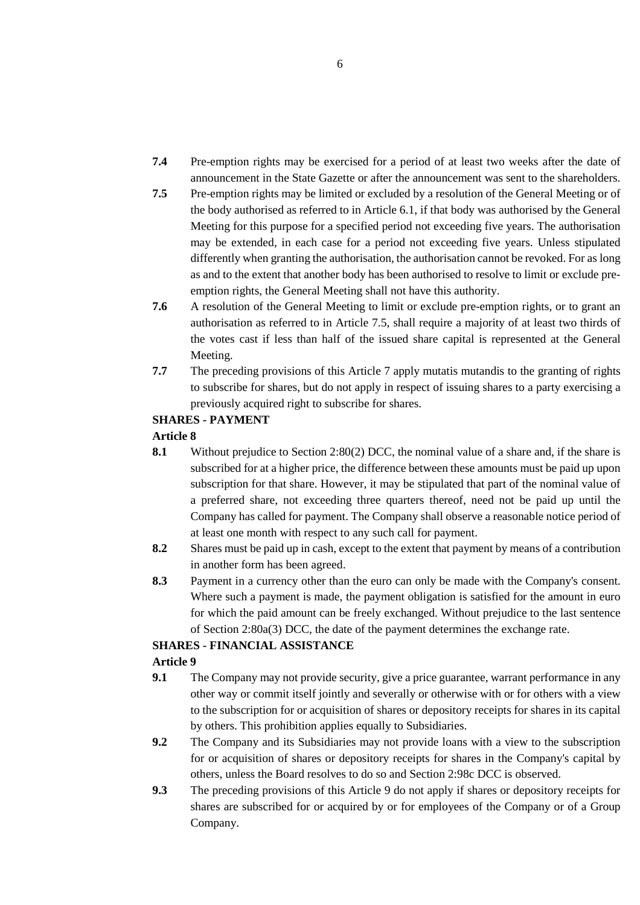- **7.4** Pre-emption rights may be exercised for a period of at least two weeks after the date of announcement in the State Gazette or after the announcement was sent to the shareholders.
- **7.5** Pre-emption rights may be limited or excluded by a resolution of the General Meeting or of the body authorised as referred to in Article 6.1, if that body was authorised by the General Meeting for this purpose for a specified period not exceeding five years. The authorisation may be extended, in each case for a period not exceeding five years. Unless stipulated differently when granting the authorisation, the authorisation cannot be revoked. For as long as and to the extent that another body has been authorised to resolve to limit or exclude preemption rights, the General Meeting shall not have this authority.
- **7.6** A resolution of the General Meeting to limit or exclude pre-emption rights, or to grant an authorisation as referred to in Article 7.5, shall require a majority of at least two thirds of the votes cast if less than half of the issued share capital is represented at the General Meeting.
- **7.7** The preceding provisions of this Article 7 apply mutatis mutandis to the granting of rights to subscribe for shares, but do not apply in respect of issuing shares to a party exercising a previously acquired right to subscribe for shares.

### **SHARES - PAYMENT**

### **Article 8**

- **8.1** Without prejudice to Section 2:80(2) DCC, the nominal value of a share and, if the share is subscribed for at a higher price, the difference between these amounts must be paid up upon subscription for that share. However, it may be stipulated that part of the nominal value of a preferred share, not exceeding three quarters thereof, need not be paid up until the Company has called for payment. The Company shall observe a reasonable notice period of at least one month with respect to any such call for payment.
- **8.2** Shares must be paid up in cash, except to the extent that payment by means of a contribution in another form has been agreed.
- **8.3** Payment in a currency other than the euro can only be made with the Company's consent. Where such a payment is made, the payment obligation is satisfied for the amount in euro for which the paid amount can be freely exchanged. Without prejudice to the last sentence of Section 2:80a(3) DCC, the date of the payment determines the exchange rate.

### **SHARES - FINANCIAL ASSISTANCE**

- **9.1** The Company may not provide security, give a price guarantee, warrant performance in any other way or commit itself jointly and severally or otherwise with or for others with a view to the subscription for or acquisition of shares or depository receipts for shares in its capital by others. This prohibition applies equally to Subsidiaries.
- **9.2** The Company and its Subsidiaries may not provide loans with a view to the subscription for or acquisition of shares or depository receipts for shares in the Company's capital by others, unless the Board resolves to do so and Section 2:98c DCC is observed.
- **9.3** The preceding provisions of this Article 9 do not apply if shares or depository receipts for shares are subscribed for or acquired by or for employees of the Company or of a Group Company.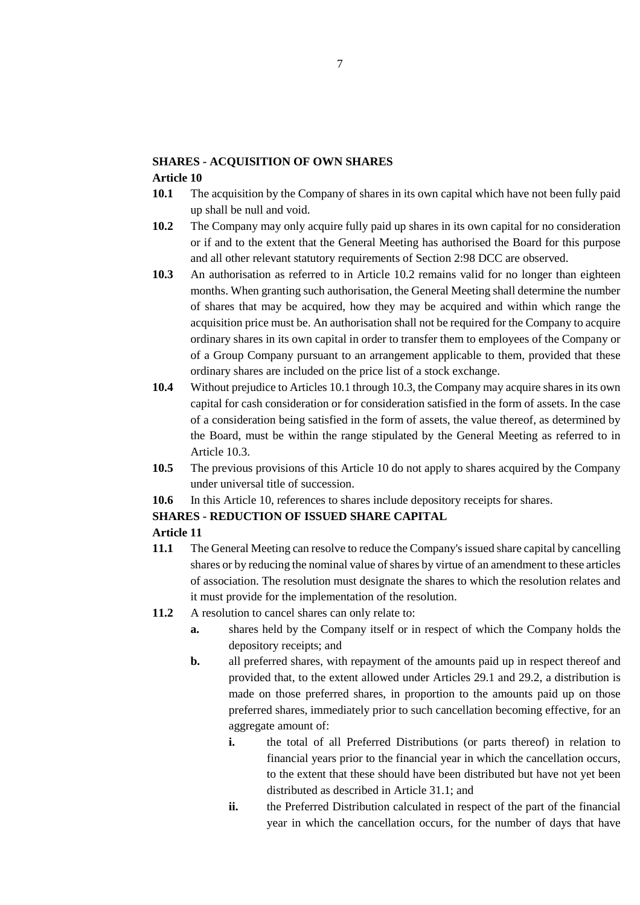### **SHARES - ACQUISITION OF OWN SHARES**

#### **Article 10**

- **10.1** The acquisition by the Company of shares in its own capital which have not been fully paid up shall be null and void.
- **10.2** The Company may only acquire fully paid up shares in its own capital for no consideration or if and to the extent that the General Meeting has authorised the Board for this purpose and all other relevant statutory requirements of Section 2:98 DCC are observed.
- **10.3** An authorisation as referred to in Article 10.2 remains valid for no longer than eighteen months. When granting such authorisation, the General Meeting shall determine the number of shares that may be acquired, how they may be acquired and within which range the acquisition price must be. An authorisation shall not be required for the Company to acquire ordinary shares in its own capital in order to transfer them to employees of the Company or of a Group Company pursuant to an arrangement applicable to them, provided that these ordinary shares are included on the price list of a stock exchange.
- **10.4** Without prejudice to Articles 10.1 through 10.3, the Company may acquire shares in its own capital for cash consideration or for consideration satisfied in the form of assets. In the case of a consideration being satisfied in the form of assets, the value thereof, as determined by the Board, must be within the range stipulated by the General Meeting as referred to in Article 10.3.
- **10.5** The previous provisions of this Article 10 do not apply to shares acquired by the Company under universal title of succession.
- **10.6** In this Article 10, references to shares include depository receipts for shares.

### **SHARES - REDUCTION OF ISSUED SHARE CAPITAL**

- **11.1** The General Meeting can resolve to reduce the Company's issued share capital by cancelling shares or by reducing the nominal value of shares by virtue of an amendment to these articles of association. The resolution must designate the shares to which the resolution relates and it must provide for the implementation of the resolution.
- **11.2** A resolution to cancel shares can only relate to:
	- **a.** shares held by the Company itself or in respect of which the Company holds the depository receipts; and
	- **b.** all preferred shares, with repayment of the amounts paid up in respect thereof and provided that, to the extent allowed under Articles 29.1 and 29.2, a distribution is made on those preferred shares, in proportion to the amounts paid up on those preferred shares, immediately prior to such cancellation becoming effective, for an aggregate amount of:
		- **i.** the total of all Preferred Distributions (or parts thereof) in relation to financial years prior to the financial year in which the cancellation occurs, to the extent that these should have been distributed but have not yet been distributed as described in Article 31.1; and
		- **ii.** the Preferred Distribution calculated in respect of the part of the financial year in which the cancellation occurs, for the number of days that have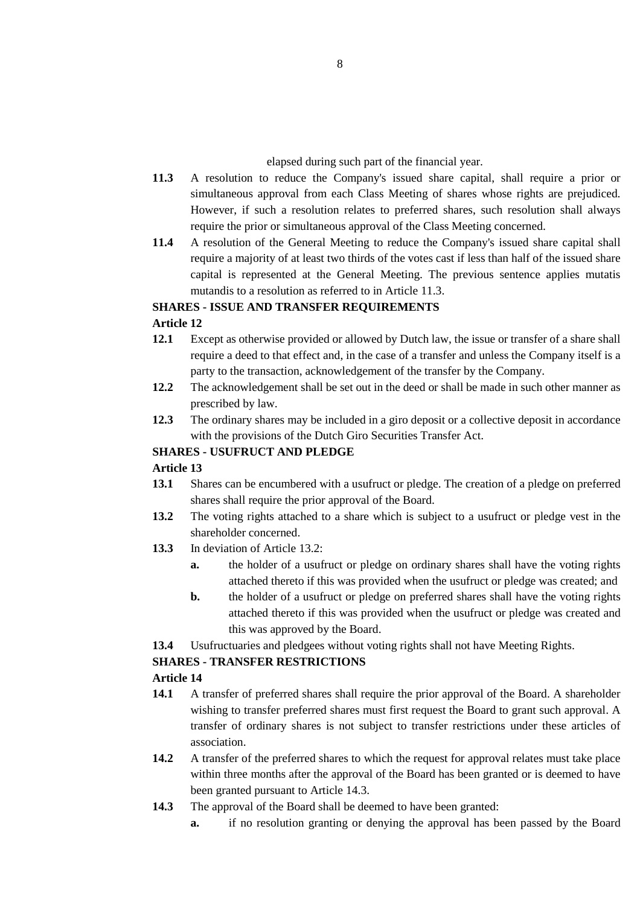elapsed during such part of the financial year.

- **11.3** A resolution to reduce the Company's issued share capital, shall require a prior or simultaneous approval from each Class Meeting of shares whose rights are prejudiced. However, if such a resolution relates to preferred shares, such resolution shall always require the prior or simultaneous approval of the Class Meeting concerned.
- **11.4** A resolution of the General Meeting to reduce the Company's issued share capital shall require a majority of at least two thirds of the votes cast if less than half of the issued share capital is represented at the General Meeting. The previous sentence applies mutatis mutandis to a resolution as referred to in Article 11.3.

### **SHARES - ISSUE AND TRANSFER REQUIREMENTS**

### **Article 12**

- **12.1** Except as otherwise provided or allowed by Dutch law, the issue or transfer of a share shall require a deed to that effect and, in the case of a transfer and unless the Company itself is a party to the transaction, acknowledgement of the transfer by the Company.
- **12.2** The acknowledgement shall be set out in the deed or shall be made in such other manner as prescribed by law.
- **12.3** The ordinary shares may be included in a giro deposit or a collective deposit in accordance with the provisions of the Dutch Giro Securities Transfer Act.

### **SHARES - USUFRUCT AND PLEDGE**

### **Article 13**

- **13.1** Shares can be encumbered with a usufruct or pledge. The creation of a pledge on preferred shares shall require the prior approval of the Board.
- **13.2** The voting rights attached to a share which is subject to a usufruct or pledge vest in the shareholder concerned.
- **13.3** In deviation of Article 13.2:
	- **a.** the holder of a usufruct or pledge on ordinary shares shall have the voting rights attached thereto if this was provided when the usufruct or pledge was created; and
	- **b.** the holder of a usufruct or pledge on preferred shares shall have the voting rights attached thereto if this was provided when the usufruct or pledge was created and this was approved by the Board.
- **13.4** Usufructuaries and pledgees without voting rights shall not have Meeting Rights.

### **SHARES - TRANSFER RESTRICTIONS**

- **14.1** A transfer of preferred shares shall require the prior approval of the Board. A shareholder wishing to transfer preferred shares must first request the Board to grant such approval. A transfer of ordinary shares is not subject to transfer restrictions under these articles of association.
- **14.2** A transfer of the preferred shares to which the request for approval relates must take place within three months after the approval of the Board has been granted or is deemed to have been granted pursuant to Article 14.3.
- **14.3** The approval of the Board shall be deemed to have been granted:
	- **a.** if no resolution granting or denying the approval has been passed by the Board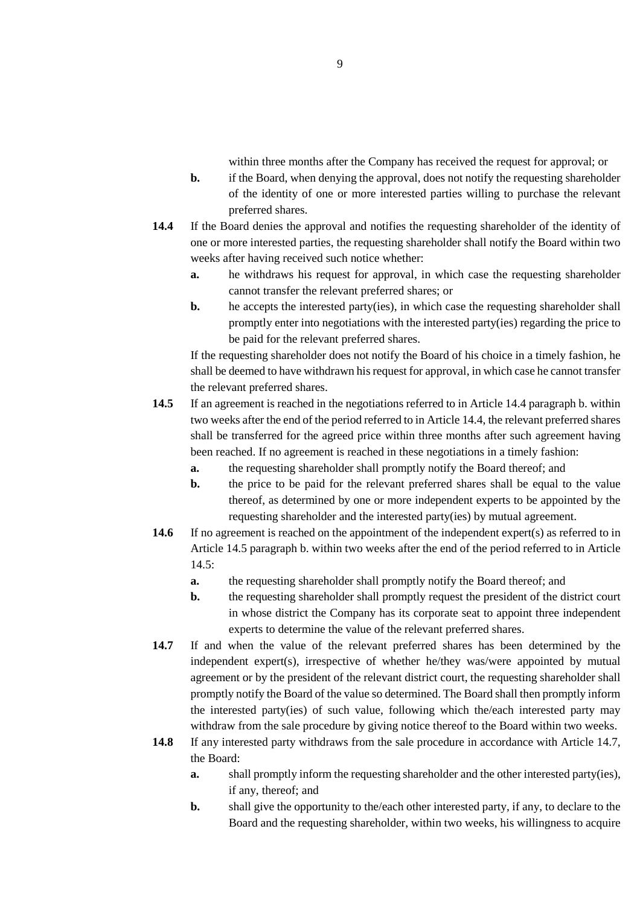within three months after the Company has received the request for approval; or

- **b.** if the Board, when denying the approval, does not notify the requesting shareholder of the identity of one or more interested parties willing to purchase the relevant preferred shares.
- **14.4** If the Board denies the approval and notifies the requesting shareholder of the identity of one or more interested parties, the requesting shareholder shall notify the Board within two weeks after having received such notice whether:
	- **a.** he withdraws his request for approval, in which case the requesting shareholder cannot transfer the relevant preferred shares; or
	- **b.** he accepts the interested party(ies), in which case the requesting shareholder shall promptly enter into negotiations with the interested party(ies) regarding the price to be paid for the relevant preferred shares.

If the requesting shareholder does not notify the Board of his choice in a timely fashion, he shall be deemed to have withdrawn his request for approval, in which case he cannot transfer the relevant preferred shares.

- **14.5** If an agreement is reached in the negotiations referred to in Article 14.4 paragraph b. within two weeks after the end of the period referred to in Article 14.4, the relevant preferred shares shall be transferred for the agreed price within three months after such agreement having been reached. If no agreement is reached in these negotiations in a timely fashion:
	- **a.** the requesting shareholder shall promptly notify the Board thereof; and
	- **b.** the price to be paid for the relevant preferred shares shall be equal to the value thereof, as determined by one or more independent experts to be appointed by the requesting shareholder and the interested party(ies) by mutual agreement.
- **14.6** If no agreement is reached on the appointment of the independent expert(s) as referred to in Article 14.5 paragraph b. within two weeks after the end of the period referred to in Article 14.5:
	- **a.** the requesting shareholder shall promptly notify the Board thereof; and
	- **b.** the requesting shareholder shall promptly request the president of the district court in whose district the Company has its corporate seat to appoint three independent experts to determine the value of the relevant preferred shares.
- **14.7** If and when the value of the relevant preferred shares has been determined by the independent expert(s), irrespective of whether he/they was/were appointed by mutual agreement or by the president of the relevant district court, the requesting shareholder shall promptly notify the Board of the value so determined. The Board shall then promptly inform the interested party(ies) of such value, following which the/each interested party may withdraw from the sale procedure by giving notice thereof to the Board within two weeks.
- **14.8** If any interested party withdraws from the sale procedure in accordance with Article 14.7, the Board:
	- **a.** shall promptly inform the requesting shareholder and the other interested party(ies), if any, thereof; and
	- **b.** shall give the opportunity to the/each other interested party, if any, to declare to the Board and the requesting shareholder, within two weeks, his willingness to acquire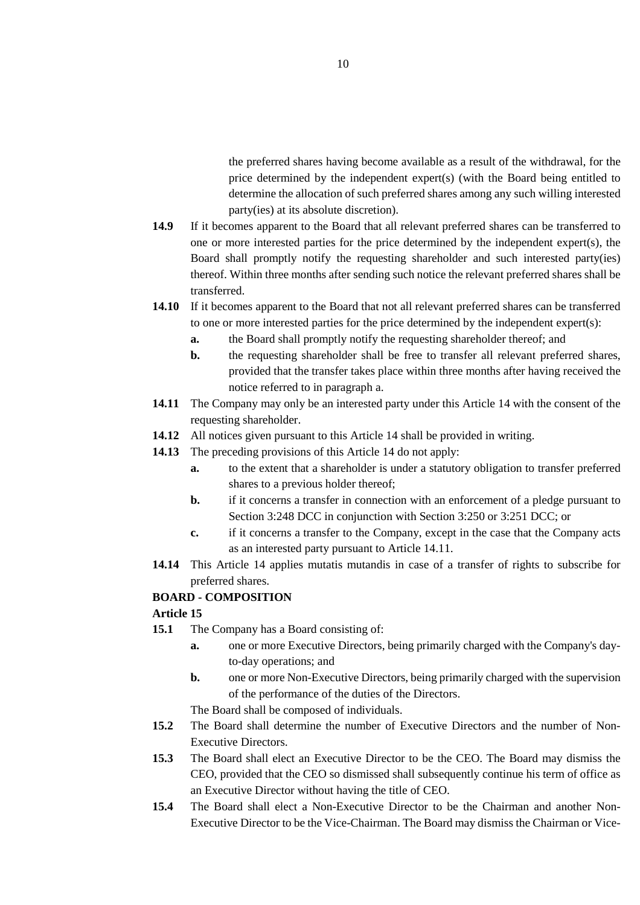the preferred shares having become available as a result of the withdrawal, for the price determined by the independent expert(s) (with the Board being entitled to determine the allocation of such preferred shares among any such willing interested party(ies) at its absolute discretion).

- **14.9** If it becomes apparent to the Board that all relevant preferred shares can be transferred to one or more interested parties for the price determined by the independent expert(s), the Board shall promptly notify the requesting shareholder and such interested party(ies) thereof. Within three months after sending such notice the relevant preferred shares shall be transferred.
- **14.10** If it becomes apparent to the Board that not all relevant preferred shares can be transferred to one or more interested parties for the price determined by the independent expert(s):
	- **a.** the Board shall promptly notify the requesting shareholder thereof; and
	- **b.** the requesting shareholder shall be free to transfer all relevant preferred shares, provided that the transfer takes place within three months after having received the notice referred to in paragraph a.
- **14.11** The Company may only be an interested party under this Article 14 with the consent of the requesting shareholder.
- **14.12** All notices given pursuant to this Article 14 shall be provided in writing.
- **14.13** The preceding provisions of this Article 14 do not apply:
	- **a.** to the extent that a shareholder is under a statutory obligation to transfer preferred shares to a previous holder thereof;
	- **b.** if it concerns a transfer in connection with an enforcement of a pledge pursuant to Section 3:248 DCC in conjunction with Section 3:250 or 3:251 DCC; or
	- **c.** if it concerns a transfer to the Company, except in the case that the Company acts as an interested party pursuant to Article 14.11.
- 14.14 This Article 14 applies mutatis mutandis in case of a transfer of rights to subscribe for preferred shares.

### **BOARD - COMPOSITION**

### **Article 15**

- **15.1** The Company has a Board consisting of:
	- **a.** one or more Executive Directors, being primarily charged with the Company's dayto-day operations; and
	- **b.** one or more Non-Executive Directors, being primarily charged with the supervision of the performance of the duties of the Directors.

The Board shall be composed of individuals.

- **15.2** The Board shall determine the number of Executive Directors and the number of Non-Executive Directors.
- **15.3** The Board shall elect an Executive Director to be the CEO. The Board may dismiss the CEO, provided that the CEO so dismissed shall subsequently continue his term of office as an Executive Director without having the title of CEO.
- **15.4** The Board shall elect a Non-Executive Director to be the Chairman and another Non-Executive Director to be the Vice-Chairman. The Board may dismiss the Chairman or Vice-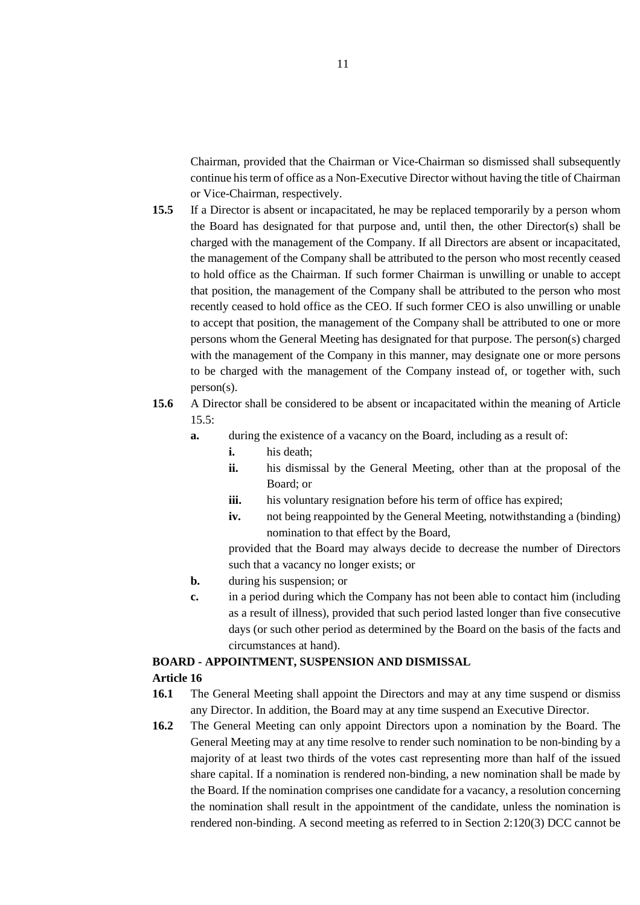Chairman, provided that the Chairman or Vice-Chairman so dismissed shall subsequently continue his term of office as a Non-Executive Director without having the title of Chairman or Vice-Chairman, respectively.

- **15.5** If a Director is absent or incapacitated, he may be replaced temporarily by a person whom the Board has designated for that purpose and, until then, the other Director(s) shall be charged with the management of the Company. If all Directors are absent or incapacitated, the management of the Company shall be attributed to the person who most recently ceased to hold office as the Chairman. If such former Chairman is unwilling or unable to accept that position, the management of the Company shall be attributed to the person who most recently ceased to hold office as the CEO. If such former CEO is also unwilling or unable to accept that position, the management of the Company shall be attributed to one or more persons whom the General Meeting has designated for that purpose. The person(s) charged with the management of the Company in this manner, may designate one or more persons to be charged with the management of the Company instead of, or together with, such person(s).
- **15.6** A Director shall be considered to be absent or incapacitated within the meaning of Article  $15.5:$ 
	- **a.** during the existence of a vacancy on the Board, including as a result of:
		- **i.** his death;
		- **ii.** his dismissal by the General Meeting, other than at the proposal of the Board; or
		- iii. his voluntary resignation before his term of office has expired;
		- **iv.** not being reappointed by the General Meeting, notwithstanding a (binding) nomination to that effect by the Board,

provided that the Board may always decide to decrease the number of Directors such that a vacancy no longer exists; or

- **b.** during his suspension; or
- **c.** in a period during which the Company has not been able to contact him (including as a result of illness), provided that such period lasted longer than five consecutive days (or such other period as determined by the Board on the basis of the facts and circumstances at hand).

#### **BOARD - APPOINTMENT, SUSPENSION AND DISMISSAL**

- **16.1** The General Meeting shall appoint the Directors and may at any time suspend or dismiss any Director. In addition, the Board may at any time suspend an Executive Director.
- **16.2** The General Meeting can only appoint Directors upon a nomination by the Board. The General Meeting may at any time resolve to render such nomination to be non-binding by a majority of at least two thirds of the votes cast representing more than half of the issued share capital. If a nomination is rendered non-binding, a new nomination shall be made by the Board. If the nomination comprises one candidate for a vacancy, a resolution concerning the nomination shall result in the appointment of the candidate, unless the nomination is rendered non-binding. A second meeting as referred to in Section 2:120(3) DCC cannot be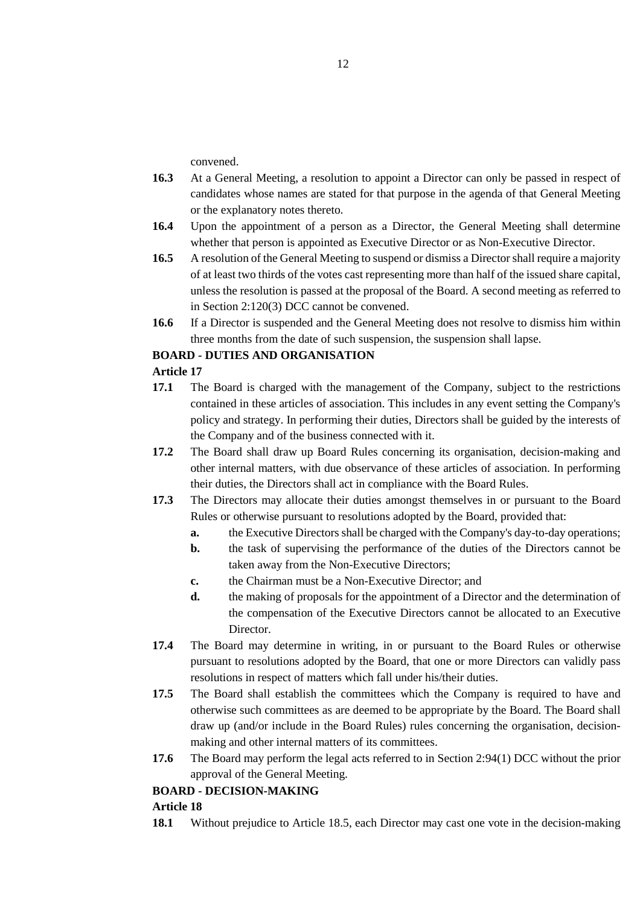convened.

- **16.3** At a General Meeting, a resolution to appoint a Director can only be passed in respect of candidates whose names are stated for that purpose in the agenda of that General Meeting or the explanatory notes thereto.
- **16.4** Upon the appointment of a person as a Director, the General Meeting shall determine whether that person is appointed as Executive Director or as Non-Executive Director.
- **16.5** A resolution of the General Meeting to suspend or dismiss a Director shall require a majority of at least two thirds of the votes cast representing more than half of the issued share capital, unless the resolution is passed at the proposal of the Board. A second meeting as referred to in Section 2:120(3) DCC cannot be convened.
- **16.6** If a Director is suspended and the General Meeting does not resolve to dismiss him within three months from the date of such suspension, the suspension shall lapse.

## **BOARD - DUTIES AND ORGANISATION**

### **Article 17**

- **17.1** The Board is charged with the management of the Company, subject to the restrictions contained in these articles of association. This includes in any event setting the Company's policy and strategy. In performing their duties, Directors shall be guided by the interests of the Company and of the business connected with it.
- **17.2** The Board shall draw up Board Rules concerning its organisation, decision-making and other internal matters, with due observance of these articles of association. In performing their duties, the Directors shall act in compliance with the Board Rules.
- **17.3** The Directors may allocate their duties amongst themselves in or pursuant to the Board Rules or otherwise pursuant to resolutions adopted by the Board, provided that:
	- **a.** the Executive Directors shall be charged with the Company's day-to-day operations;
	- **b.** the task of supervising the performance of the duties of the Directors cannot be taken away from the Non-Executive Directors;
	- **c.** the Chairman must be a Non-Executive Director; and
	- **d.** the making of proposals for the appointment of a Director and the determination of the compensation of the Executive Directors cannot be allocated to an Executive Director.
- **17.4** The Board may determine in writing, in or pursuant to the Board Rules or otherwise pursuant to resolutions adopted by the Board, that one or more Directors can validly pass resolutions in respect of matters which fall under his/their duties.
- **17.5** The Board shall establish the committees which the Company is required to have and otherwise such committees as are deemed to be appropriate by the Board. The Board shall draw up (and/or include in the Board Rules) rules concerning the organisation, decisionmaking and other internal matters of its committees.
- **17.6** The Board may perform the legal acts referred to in Section 2:94(1) DCC without the prior approval of the General Meeting.

### **BOARD - DECISION-MAKING**

### **Article 18**

**18.1** Without prejudice to Article 18.5, each Director may cast one vote in the decision-making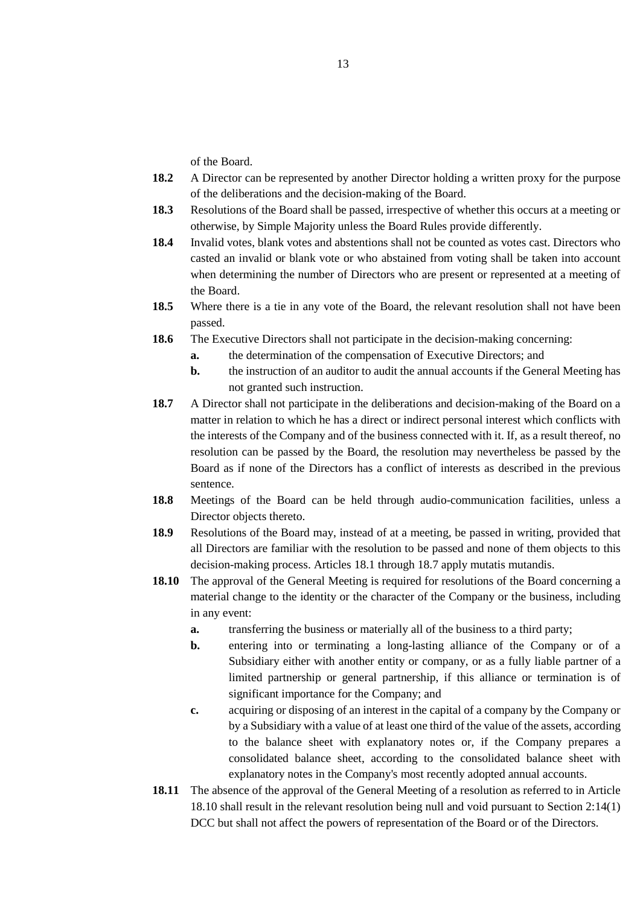of the Board.

- **18.2** A Director can be represented by another Director holding a written proxy for the purpose of the deliberations and the decision-making of the Board.
- **18.3** Resolutions of the Board shall be passed, irrespective of whether this occurs at a meeting or otherwise, by Simple Majority unless the Board Rules provide differently.
- **18.4** Invalid votes, blank votes and abstentions shall not be counted as votes cast. Directors who casted an invalid or blank vote or who abstained from voting shall be taken into account when determining the number of Directors who are present or represented at a meeting of the Board.
- **18.5** Where there is a tie in any vote of the Board, the relevant resolution shall not have been passed.
- **18.6** The Executive Directors shall not participate in the decision-making concerning:
	- **a.** the determination of the compensation of Executive Directors; and
	- **b.** the instruction of an auditor to audit the annual accounts if the General Meeting has not granted such instruction.
- **18.7** A Director shall not participate in the deliberations and decision-making of the Board on a matter in relation to which he has a direct or indirect personal interest which conflicts with the interests of the Company and of the business connected with it. If, as a result thereof, no resolution can be passed by the Board, the resolution may nevertheless be passed by the Board as if none of the Directors has a conflict of interests as described in the previous sentence.
- **18.8** Meetings of the Board can be held through audio-communication facilities, unless a Director objects thereto.
- **18.9** Resolutions of the Board may, instead of at a meeting, be passed in writing, provided that all Directors are familiar with the resolution to be passed and none of them objects to this decision-making process. Articles 18.1 through 18.7 apply mutatis mutandis.
- **18.10** The approval of the General Meeting is required for resolutions of the Board concerning a material change to the identity or the character of the Company or the business, including in any event:
	- **a.** transferring the business or materially all of the business to a third party;
	- **b.** entering into or terminating a long-lasting alliance of the Company or of a Subsidiary either with another entity or company, or as a fully liable partner of a limited partnership or general partnership, if this alliance or termination is of significant importance for the Company; and
	- **c.** acquiring or disposing of an interest in the capital of a company by the Company or by a Subsidiary with a value of at least one third of the value of the assets, according to the balance sheet with explanatory notes or, if the Company prepares a consolidated balance sheet, according to the consolidated balance sheet with explanatory notes in the Company's most recently adopted annual accounts.
- **18.11** The absence of the approval of the General Meeting of a resolution as referred to in Article 18.10 shall result in the relevant resolution being null and void pursuant to Section 2:14(1) DCC but shall not affect the powers of representation of the Board or of the Directors.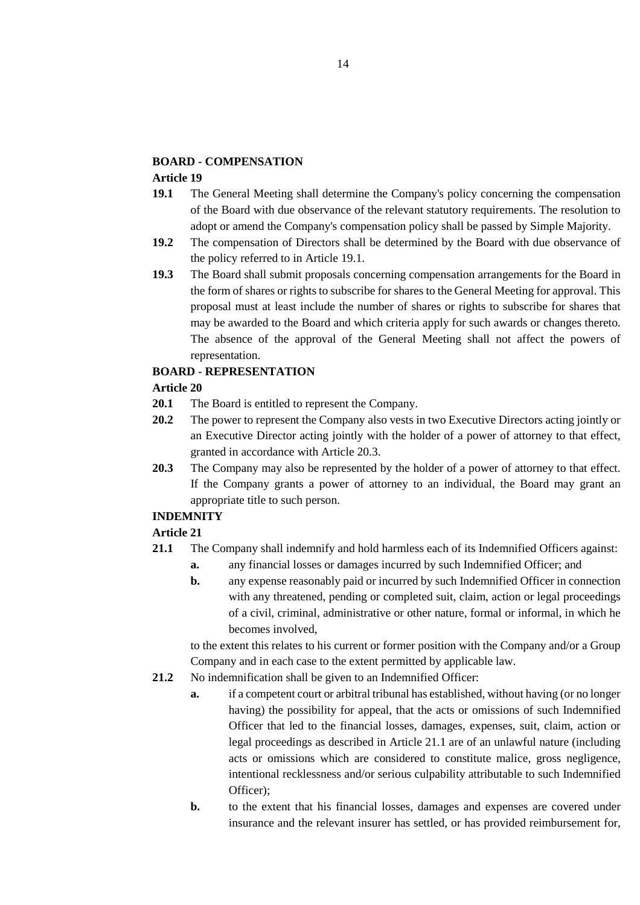### **BOARD - COMPENSATION**

### **Article 19**

- **19.1** The General Meeting shall determine the Company's policy concerning the compensation of the Board with due observance of the relevant statutory requirements. The resolution to adopt or amend the Company's compensation policy shall be passed by Simple Majority.
- **19.2** The compensation of Directors shall be determined by the Board with due observance of the policy referred to in Article 19.1.
- **19.3** The Board shall submit proposals concerning compensation arrangements for the Board in the form of shares or rights to subscribe for shares to the General Meeting for approval. This proposal must at least include the number of shares or rights to subscribe for shares that may be awarded to the Board and which criteria apply for such awards or changes thereto. The absence of the approval of the General Meeting shall not affect the powers of representation.

### **BOARD - REPRESENTATION**

### **Article 20**

- **20.1** The Board is entitled to represent the Company.
- **20.2** The power to represent the Company also vests in two Executive Directors acting jointly or an Executive Director acting jointly with the holder of a power of attorney to that effect, granted in accordance with Article 20.3.
- **20.3** The Company may also be represented by the holder of a power of attorney to that effect. If the Company grants a power of attorney to an individual, the Board may grant an appropriate title to such person.

### **INDEMNITY**

### **Article 21**

- **21.1** The Company shall indemnify and hold harmless each of its Indemnified Officers against:
	- **a.** any financial losses or damages incurred by such Indemnified Officer; and
	- **b.** any expense reasonably paid or incurred by such Indemnified Officer in connection with any threatened, pending or completed suit, claim, action or legal proceedings of a civil, criminal, administrative or other nature, formal or informal, in which he becomes involved,

to the extent this relates to his current or former position with the Company and/or a Group Company and in each case to the extent permitted by applicable law.

- **21.2** No indemnification shall be given to an Indemnified Officer:
	- **a.** if a competent court or arbitral tribunal has established, without having (or no longer having) the possibility for appeal, that the acts or omissions of such Indemnified Officer that led to the financial losses, damages, expenses, suit, claim, action or legal proceedings as described in Article 21.1 are of an unlawful nature (including acts or omissions which are considered to constitute malice, gross negligence, intentional recklessness and/or serious culpability attributable to such Indemnified Officer);
	- **b.** to the extent that his financial losses, damages and expenses are covered under insurance and the relevant insurer has settled, or has provided reimbursement for,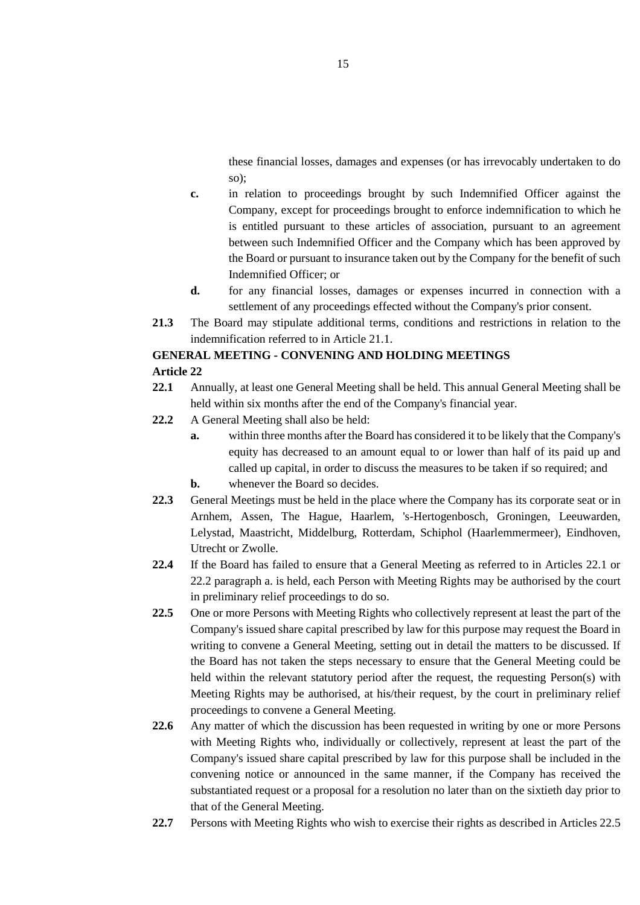these financial losses, damages and expenses (or has irrevocably undertaken to do so);

- **c.** in relation to proceedings brought by such Indemnified Officer against the Company, except for proceedings brought to enforce indemnification to which he is entitled pursuant to these articles of association, pursuant to an agreement between such Indemnified Officer and the Company which has been approved by the Board or pursuant to insurance taken out by the Company for the benefit of such Indemnified Officer; or
- **d.** for any financial losses, damages or expenses incurred in connection with a settlement of any proceedings effected without the Company's prior consent.
- **21.3** The Board may stipulate additional terms, conditions and restrictions in relation to the indemnification referred to in Article 21.1.

### **GENERAL MEETING - CONVENING AND HOLDING MEETINGS Article 22**

- **22.1** Annually, at least one General Meeting shall be held. This annual General Meeting shall be held within six months after the end of the Company's financial year.
- **22.2** A General Meeting shall also be held:
	- **a.** within three months after the Board has considered it to be likely that the Company's equity has decreased to an amount equal to or lower than half of its paid up and called up capital, in order to discuss the measures to be taken if so required; and
	- **b.** whenever the Board so decides.
- **22.3** General Meetings must be held in the place where the Company has its corporate seat or in Arnhem, Assen, The Hague, Haarlem, 's-Hertogenbosch, Groningen, Leeuwarden, Lelystad, Maastricht, Middelburg, Rotterdam, Schiphol (Haarlemmermeer), Eindhoven, Utrecht or Zwolle.
- **22.4** If the Board has failed to ensure that a General Meeting as referred to in Articles 22.1 or 22.2 paragraph a. is held, each Person with Meeting Rights may be authorised by the court in preliminary relief proceedings to do so.
- **22.5** One or more Persons with Meeting Rights who collectively represent at least the part of the Company's issued share capital prescribed by law for this purpose may request the Board in writing to convene a General Meeting, setting out in detail the matters to be discussed. If the Board has not taken the steps necessary to ensure that the General Meeting could be held within the relevant statutory period after the request, the requesting Person(s) with Meeting Rights may be authorised, at his/their request, by the court in preliminary relief proceedings to convene a General Meeting.
- **22.6** Any matter of which the discussion has been requested in writing by one or more Persons with Meeting Rights who, individually or collectively, represent at least the part of the Company's issued share capital prescribed by law for this purpose shall be included in the convening notice or announced in the same manner, if the Company has received the substantiated request or a proposal for a resolution no later than on the sixtieth day prior to that of the General Meeting.
- **22.7** Persons with Meeting Rights who wish to exercise their rights as described in Articles 22.5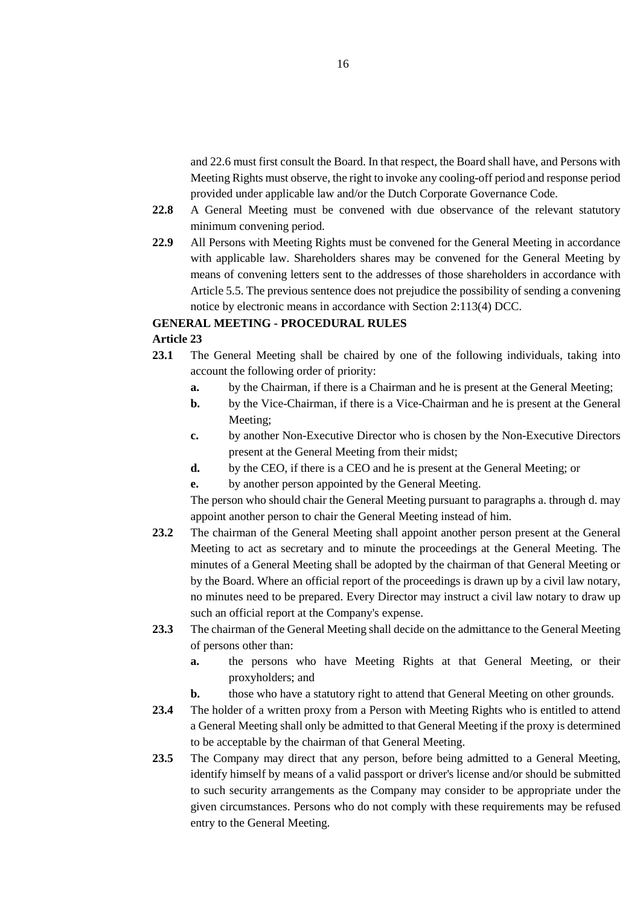and 22.6 must first consult the Board. In that respect, the Board shall have, and Persons with Meeting Rights must observe, the right to invoke any cooling-off period and response period provided under applicable law and/or the Dutch Corporate Governance Code.

- **22.8** A General Meeting must be convened with due observance of the relevant statutory minimum convening period.
- **22.9** All Persons with Meeting Rights must be convened for the General Meeting in accordance with applicable law. Shareholders shares may be convened for the General Meeting by means of convening letters sent to the addresses of those shareholders in accordance with Article 5.5. The previous sentence does not prejudice the possibility of sending a convening notice by electronic means in accordance with Section 2:113(4) DCC.

### **GENERAL MEETING - PROCEDURAL RULES**

#### **Article 23**

- **23.1** The General Meeting shall be chaired by one of the following individuals, taking into account the following order of priority:
	- **a.** by the Chairman, if there is a Chairman and he is present at the General Meeting;
	- **b.** by the Vice-Chairman, if there is a Vice-Chairman and he is present at the General Meeting;
	- **c.** by another Non-Executive Director who is chosen by the Non-Executive Directors present at the General Meeting from their midst;
	- **d.** by the CEO, if there is a CEO and he is present at the General Meeting; or
	- **e.** by another person appointed by the General Meeting.

The person who should chair the General Meeting pursuant to paragraphs a. through d. may appoint another person to chair the General Meeting instead of him.

- **23.2** The chairman of the General Meeting shall appoint another person present at the General Meeting to act as secretary and to minute the proceedings at the General Meeting. The minutes of a General Meeting shall be adopted by the chairman of that General Meeting or by the Board. Where an official report of the proceedings is drawn up by a civil law notary, no minutes need to be prepared. Every Director may instruct a civil law notary to draw up such an official report at the Company's expense.
- **23.3** The chairman of the General Meeting shall decide on the admittance to the General Meeting of persons other than:
	- **a.** the persons who have Meeting Rights at that General Meeting, or their proxyholders; and
	- **b.** those who have a statutory right to attend that General Meeting on other grounds.
- **23.4** The holder of a written proxy from a Person with Meeting Rights who is entitled to attend a General Meeting shall only be admitted to that General Meeting if the proxy is determined to be acceptable by the chairman of that General Meeting.
- 23.5 The Company may direct that any person, before being admitted to a General Meeting, identify himself by means of a valid passport or driver's license and/or should be submitted to such security arrangements as the Company may consider to be appropriate under the given circumstances. Persons who do not comply with these requirements may be refused entry to the General Meeting.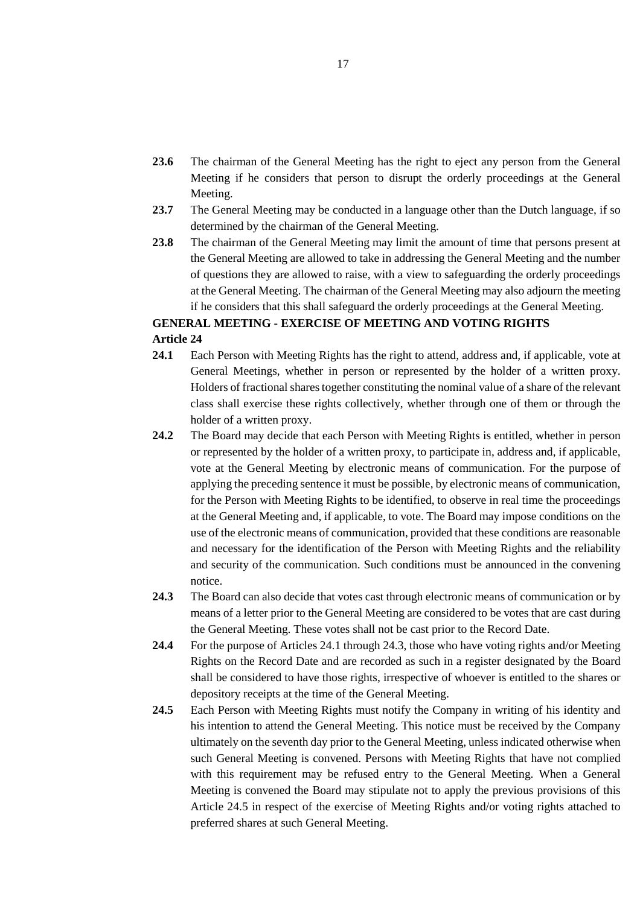- **23.6** The chairman of the General Meeting has the right to eject any person from the General Meeting if he considers that person to disrupt the orderly proceedings at the General Meeting.
- **23.7** The General Meeting may be conducted in a language other than the Dutch language, if so determined by the chairman of the General Meeting.
- **23.8** The chairman of the General Meeting may limit the amount of time that persons present at the General Meeting are allowed to take in addressing the General Meeting and the number of questions they are allowed to raise, with a view to safeguarding the orderly proceedings at the General Meeting. The chairman of the General Meeting may also adjourn the meeting if he considers that this shall safeguard the orderly proceedings at the General Meeting.

### **GENERAL MEETING - EXERCISE OF MEETING AND VOTING RIGHTS Article 24**

- **24.1** Each Person with Meeting Rights has the right to attend, address and, if applicable, vote at General Meetings, whether in person or represented by the holder of a written proxy. Holders of fractional shares together constituting the nominal value of a share of the relevant class shall exercise these rights collectively, whether through one of them or through the holder of a written proxy.
- **24.2** The Board may decide that each Person with Meeting Rights is entitled, whether in person or represented by the holder of a written proxy, to participate in, address and, if applicable, vote at the General Meeting by electronic means of communication. For the purpose of applying the preceding sentence it must be possible, by electronic means of communication, for the Person with Meeting Rights to be identified, to observe in real time the proceedings at the General Meeting and, if applicable, to vote. The Board may impose conditions on the use of the electronic means of communication, provided that these conditions are reasonable and necessary for the identification of the Person with Meeting Rights and the reliability and security of the communication. Such conditions must be announced in the convening notice.
- **24.3** The Board can also decide that votes cast through electronic means of communication or by means of a letter prior to the General Meeting are considered to be votes that are cast during the General Meeting. These votes shall not be cast prior to the Record Date.
- **24.4** For the purpose of Articles 24.1 through 24.3, those who have voting rights and/or Meeting Rights on the Record Date and are recorded as such in a register designated by the Board shall be considered to have those rights, irrespective of whoever is entitled to the shares or depository receipts at the time of the General Meeting.
- **24.5** Each Person with Meeting Rights must notify the Company in writing of his identity and his intention to attend the General Meeting. This notice must be received by the Company ultimately on the seventh day prior to the General Meeting, unless indicated otherwise when such General Meeting is convened. Persons with Meeting Rights that have not complied with this requirement may be refused entry to the General Meeting. When a General Meeting is convened the Board may stipulate not to apply the previous provisions of this Article 24.5 in respect of the exercise of Meeting Rights and/or voting rights attached to preferred shares at such General Meeting.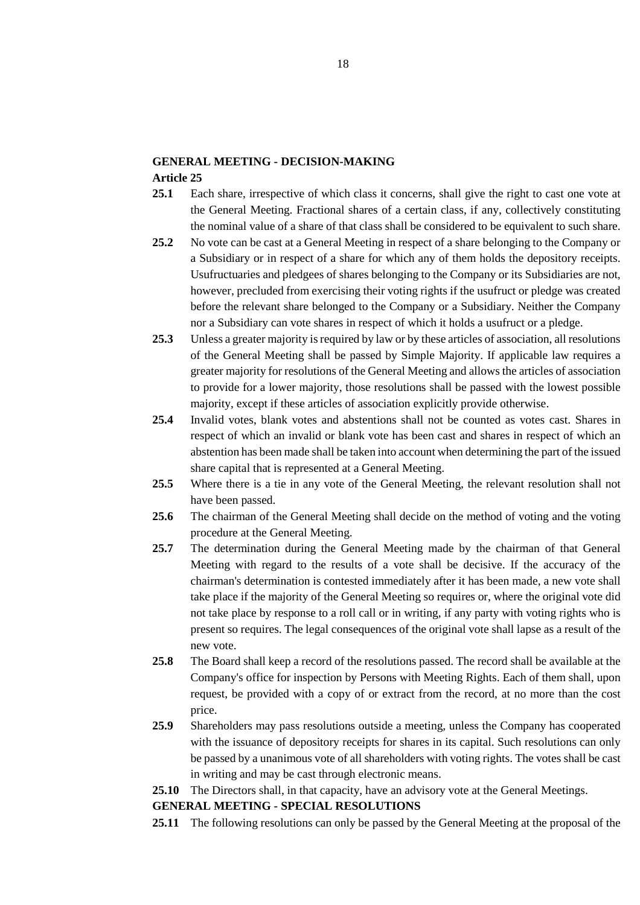## **GENERAL MEETING - DECISION-MAKING**

### **Article 25**

- **25.1** Each share, irrespective of which class it concerns, shall give the right to cast one vote at the General Meeting. Fractional shares of a certain class, if any, collectively constituting the nominal value of a share of that class shall be considered to be equivalent to such share.
- **25.2** No vote can be cast at a General Meeting in respect of a share belonging to the Company or a Subsidiary or in respect of a share for which any of them holds the depository receipts. Usufructuaries and pledgees of shares belonging to the Company or its Subsidiaries are not, however, precluded from exercising their voting rights if the usufruct or pledge was created before the relevant share belonged to the Company or a Subsidiary. Neither the Company nor a Subsidiary can vote shares in respect of which it holds a usufruct or a pledge.
- **25.3** Unless a greater majority is required by law or by these articles of association, all resolutions of the General Meeting shall be passed by Simple Majority. If applicable law requires a greater majority for resolutions of the General Meeting and allows the articles of association to provide for a lower majority, those resolutions shall be passed with the lowest possible majority, except if these articles of association explicitly provide otherwise.
- **25.4** Invalid votes, blank votes and abstentions shall not be counted as votes cast. Shares in respect of which an invalid or blank vote has been cast and shares in respect of which an abstention has been made shall be taken into account when determining the part of the issued share capital that is represented at a General Meeting.
- **25.5** Where there is a tie in any vote of the General Meeting, the relevant resolution shall not have been passed.
- **25.6** The chairman of the General Meeting shall decide on the method of voting and the voting procedure at the General Meeting.
- **25.7** The determination during the General Meeting made by the chairman of that General Meeting with regard to the results of a vote shall be decisive. If the accuracy of the chairman's determination is contested immediately after it has been made, a new vote shall take place if the majority of the General Meeting so requires or, where the original vote did not take place by response to a roll call or in writing, if any party with voting rights who is present so requires. The legal consequences of the original vote shall lapse as a result of the new vote.
- **25.8** The Board shall keep a record of the resolutions passed. The record shall be available at the Company's office for inspection by Persons with Meeting Rights. Each of them shall, upon request, be provided with a copy of or extract from the record, at no more than the cost price.
- **25.9** Shareholders may pass resolutions outside a meeting, unless the Company has cooperated with the issuance of depository receipts for shares in its capital. Such resolutions can only be passed by a unanimous vote of all shareholders with voting rights. The votes shall be cast in writing and may be cast through electronic means.

**25.10** The Directors shall, in that capacity, have an advisory vote at the General Meetings.

### **GENERAL MEETING - SPECIAL RESOLUTIONS**

**25.11** The following resolutions can only be passed by the General Meeting at the proposal of the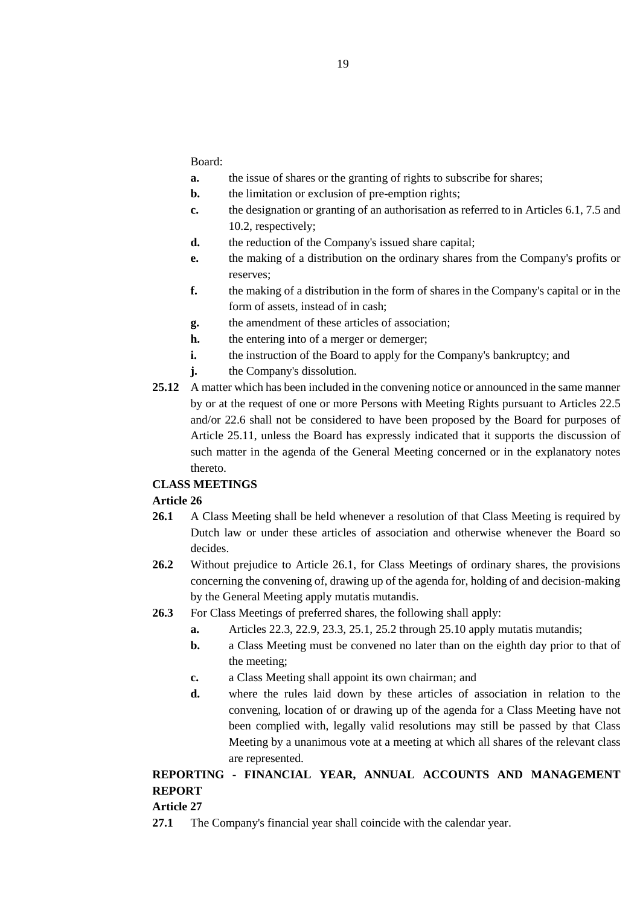Board:

- **a.** the issue of shares or the granting of rights to subscribe for shares;
- **b.** the limitation or exclusion of pre-emption rights;
- **c.** the designation or granting of an authorisation as referred to in Articles 6.1, 7.5 and 10.2, respectively;
- **d.** the reduction of the Company's issued share capital;
- **e.** the making of a distribution on the ordinary shares from the Company's profits or reserves;
- **f.** the making of a distribution in the form of shares in the Company's capital or in the form of assets, instead of in cash;
- **g.** the amendment of these articles of association;
- **h.** the entering into of a merger or demerger;
- **i.** the instruction of the Board to apply for the Company's bankruptcy; and
- **j.** the Company's dissolution.
- **25.12** A matter which has been included in the convening notice or announced in the same manner by or at the request of one or more Persons with Meeting Rights pursuant to Articles 22.5 and/or 22.6 shall not be considered to have been proposed by the Board for purposes of Article 25.11, unless the Board has expressly indicated that it supports the discussion of such matter in the agenda of the General Meeting concerned or in the explanatory notes thereto.

### **CLASS MEETINGS**

### **Article 26**

- 26.1 A Class Meeting shall be held whenever a resolution of that Class Meeting is required by Dutch law or under these articles of association and otherwise whenever the Board so decides.
- **26.2** Without prejudice to Article 26.1, for Class Meetings of ordinary shares, the provisions concerning the convening of, drawing up of the agenda for, holding of and decision-making by the General Meeting apply mutatis mutandis.
- **26.3** For Class Meetings of preferred shares, the following shall apply:
	- **a.** Articles 22.3, 22.9, 23.3, 25.1, 25.2 through 25.10 apply mutatis mutandis;
	- **b.** a Class Meeting must be convened no later than on the eighth day prior to that of the meeting;
	- **c.** a Class Meeting shall appoint its own chairman; and
	- **d.** where the rules laid down by these articles of association in relation to the convening, location of or drawing up of the agenda for a Class Meeting have not been complied with, legally valid resolutions may still be passed by that Class Meeting by a unanimous vote at a meeting at which all shares of the relevant class are represented.

## **REPORTING - FINANCIAL YEAR, ANNUAL ACCOUNTS AND MANAGEMENT REPORT**

## **Article 27**

**27.1** The Company's financial year shall coincide with the calendar year.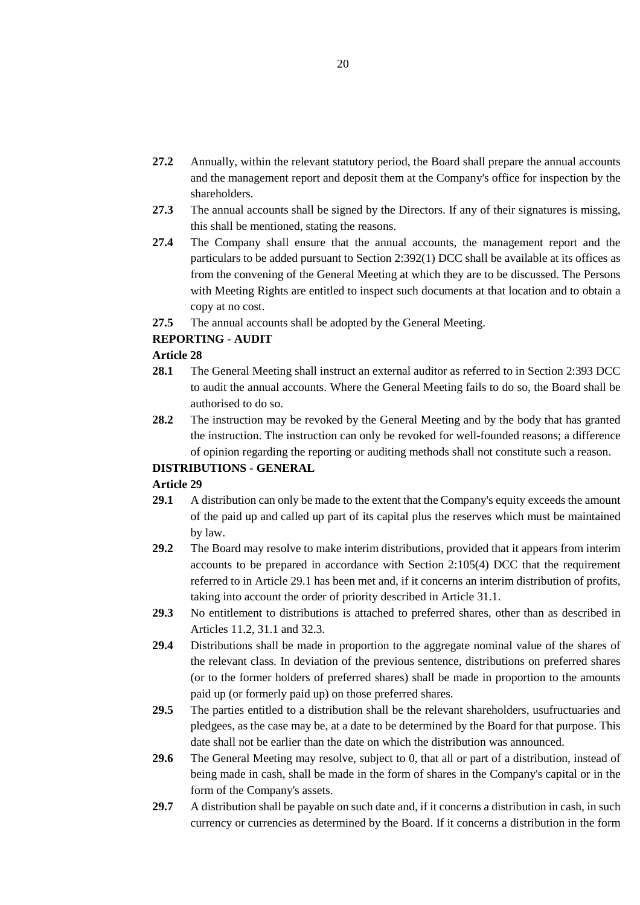- **27.2** Annually, within the relevant statutory period, the Board shall prepare the annual accounts and the management report and deposit them at the Company's office for inspection by the shareholders.
- **27.3** The annual accounts shall be signed by the Directors. If any of their signatures is missing, this shall be mentioned, stating the reasons.
- **27.4** The Company shall ensure that the annual accounts, the management report and the particulars to be added pursuant to Section 2:392(1) DCC shall be available at its offices as from the convening of the General Meeting at which they are to be discussed. The Persons with Meeting Rights are entitled to inspect such documents at that location and to obtain a copy at no cost.
- **27.5** The annual accounts shall be adopted by the General Meeting.

### **REPORTING - AUDIT**

### **Article 28**

- **28.1** The General Meeting shall instruct an external auditor as referred to in Section 2:393 DCC to audit the annual accounts. Where the General Meeting fails to do so, the Board shall be authorised to do so.
- **28.2** The instruction may be revoked by the General Meeting and by the body that has granted the instruction. The instruction can only be revoked for well-founded reasons; a difference of opinion regarding the reporting or auditing methods shall not constitute such a reason.

### **DISTRIBUTIONS - GENERAL**

- **29.1** A distribution can only be made to the extent that the Company's equity exceeds the amount of the paid up and called up part of its capital plus the reserves which must be maintained by law.
- **29.2** The Board may resolve to make interim distributions, provided that it appears from interim accounts to be prepared in accordance with Section 2:105(4) DCC that the requirement referred to in Article 29.1 has been met and, if it concerns an interim distribution of profits, taking into account the order of priority described in Article 31.1.
- **29.3** No entitlement to distributions is attached to preferred shares, other than as described in Articles 11.2, 31.1 and 32.3.
- **29.4** Distributions shall be made in proportion to the aggregate nominal value of the shares of the relevant class. In deviation of the previous sentence, distributions on preferred shares (or to the former holders of preferred shares) shall be made in proportion to the amounts paid up (or formerly paid up) on those preferred shares.
- **29.5** The parties entitled to a distribution shall be the relevant shareholders, usufructuaries and pledgees, as the case may be, at a date to be determined by the Board for that purpose. This date shall not be earlier than the date on which the distribution was announced.
- **29.6** The General Meeting may resolve, subject to 0, that all or part of a distribution, instead of being made in cash, shall be made in the form of shares in the Company's capital or in the form of the Company's assets.
- **29.7** A distribution shall be payable on such date and, if it concerns a distribution in cash, in such currency or currencies as determined by the Board. If it concerns a distribution in the form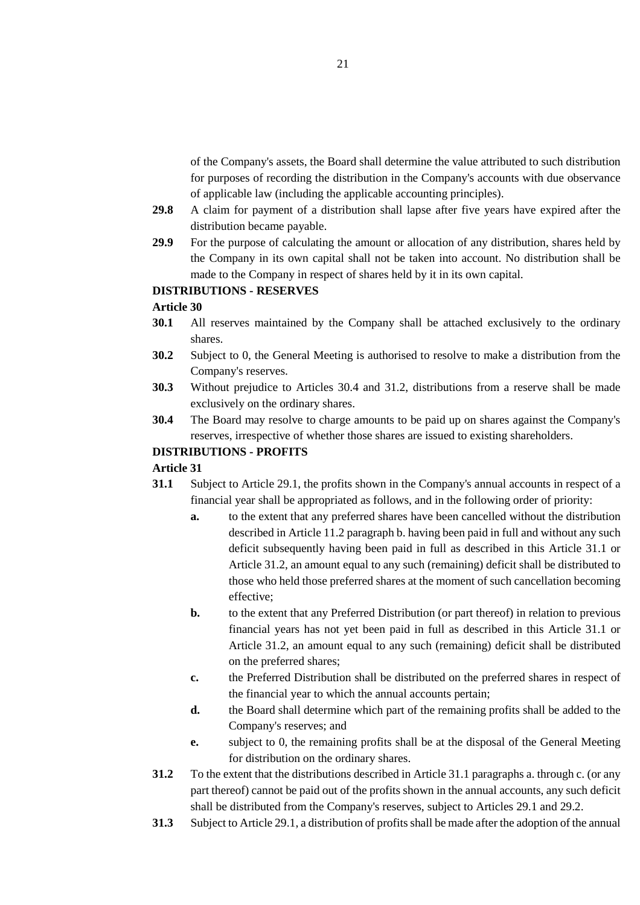of the Company's assets, the Board shall determine the value attributed to such distribution for purposes of recording the distribution in the Company's accounts with due observance of applicable law (including the applicable accounting principles).

- **29.8** A claim for payment of a distribution shall lapse after five years have expired after the distribution became payable.
- **29.9** For the purpose of calculating the amount or allocation of any distribution, shares held by the Company in its own capital shall not be taken into account. No distribution shall be made to the Company in respect of shares held by it in its own capital.

### **DISTRIBUTIONS - RESERVES**

#### **Article 30**

- **30.1** All reserves maintained by the Company shall be attached exclusively to the ordinary shares.
- **30.2** Subject to 0, the General Meeting is authorised to resolve to make a distribution from the Company's reserves.
- **30.3** Without prejudice to Articles 30.4 and 31.2, distributions from a reserve shall be made exclusively on the ordinary shares.
- **30.4** The Board may resolve to charge amounts to be paid up on shares against the Company's reserves, irrespective of whether those shares are issued to existing shareholders.

### **DISTRIBUTIONS - PROFITS**

- **31.1** Subject to Article 29.1, the profits shown in the Company's annual accounts in respect of a financial year shall be appropriated as follows, and in the following order of priority:
	- **a.** to the extent that any preferred shares have been cancelled without the distribution described in Article 11.2 paragraph b. having been paid in full and without any such deficit subsequently having been paid in full as described in this Article 31.1 or Article 31.2, an amount equal to any such (remaining) deficit shall be distributed to those who held those preferred shares at the moment of such cancellation becoming effective;
	- **b.** to the extent that any Preferred Distribution (or part thereof) in relation to previous financial years has not yet been paid in full as described in this Article 31.1 or Article 31.2, an amount equal to any such (remaining) deficit shall be distributed on the preferred shares;
	- **c.** the Preferred Distribution shall be distributed on the preferred shares in respect of the financial year to which the annual accounts pertain;
	- **d.** the Board shall determine which part of the remaining profits shall be added to the Company's reserves; and
	- **e.** subject to 0, the remaining profits shall be at the disposal of the General Meeting for distribution on the ordinary shares.
- **31.2** To the extent that the distributions described in Article 31.1 paragraphs a. through c. (or any part thereof) cannot be paid out of the profits shown in the annual accounts, any such deficit shall be distributed from the Company's reserves, subject to Articles 29.1 and 29.2.
- **31.3** Subject to Article 29.1, a distribution of profits shall be made after the adoption of the annual